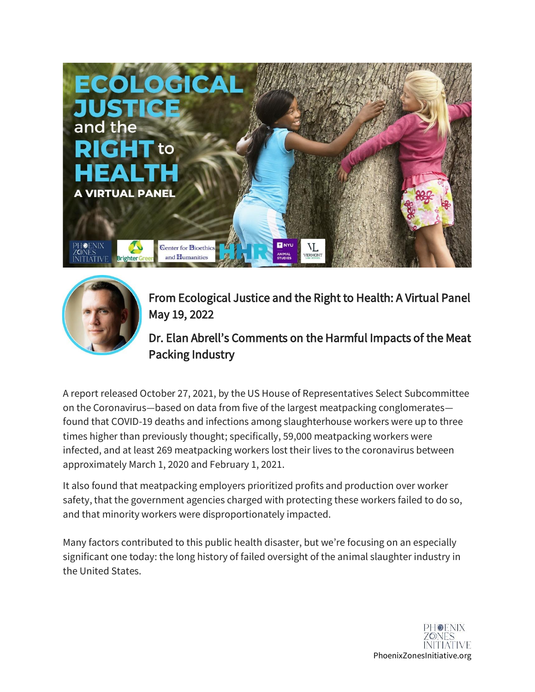



From Ecological Justice and the Right to Health: A Virtual Panel May 19, 2022

Dr. Elan Abrell's Comments on the Harmful Impacts of the Meat Packing Industry

A report released October 27, 2021, by the US House of Representatives Select Subcommittee on the Coronavirus—based on data from five of the largest meatpacking conglomerates found that COVID-19 deaths and infections among slaughterhouse workers were up to three times higher than previously thought; specifically, 59,000 meatpacking workers were infected, and at least 269 meatpacking workers lost their lives to the coronavirus between approximately March 1, 2020 and February 1, 2021.

It also found that meatpacking employers prioritized profits and production over worker safety, that the government agencies charged with protecting these workers failed to do so, and that minority workers were disproportionately impacted.

Many factors contributed to this public health disaster, but we're focusing on an especially significant one today: the long history of failed oversight of the animal slaughter industry in the United States.

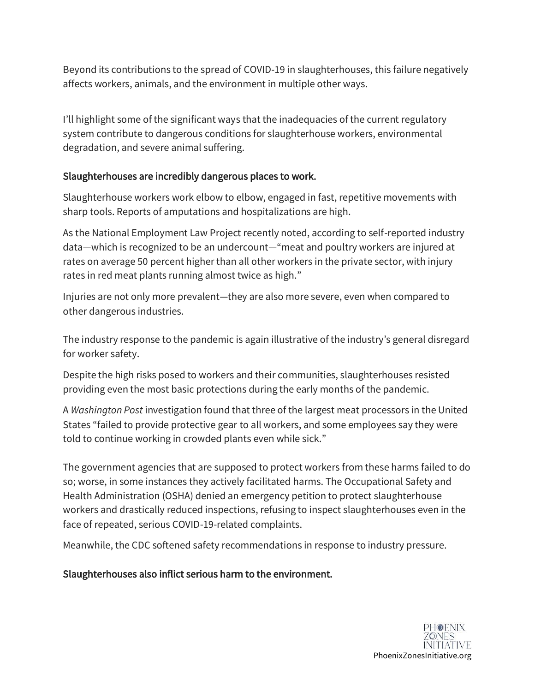Beyond its contributions to the spread of COVID-19 in slaughterhouses, this failure negatively affects workers, animals, and the environment in multiple other ways.

I'll highlight some of the significant ways that the inadequacies of the current regulatory system contribute to dangerous conditions for slaughterhouse workers, environmental degradation, and severe animal suffering.

## Slaughterhouses are incredibly dangerous places to work.

Slaughterhouse workers work elbow to elbow, engaged in fast, repetitive movements with sharp tools. Reports of amputations and hospitalizations are high.

As the National Employment Law Project recently noted, according to self-reported industry data—which is recognized to be an undercount—"meat and poultry workers are injured at rates on average 50 percent higher than all other workers in the private sector, with injury rates in red meat plants running almost twice as high."

Injuries are not only more prevalent—they are also more severe, even when compared to other dangerous industries.

The industry response to the pandemic is again illustrative of the industry's general disregard for worker safety.

Despite the high risks posed to workers and their communities, slaughterhouses resisted providing even the most basic protections during the early months of the pandemic.

A *Washington Post* investigation found that three of the largest meat processors in the United States "failed to provide protective gear to all workers, and some employees say they were told to continue working in crowded plants even while sick."

The government agencies that are supposed to protect workers from these harms failed to do so; worse, in some instances they actively facilitated harms. The Occupational Safety and Health Administration (OSHA) denied an emergency petition to protect slaughterhouse workers and drastically reduced inspections, refusing to inspect slaughterhouses even in the face of repeated, serious COVID-19-related complaints.

Meanwhile, the CDC softened safety recommendations in response to industry pressure.

Slaughterhouses also inflict serious harm to the environment.

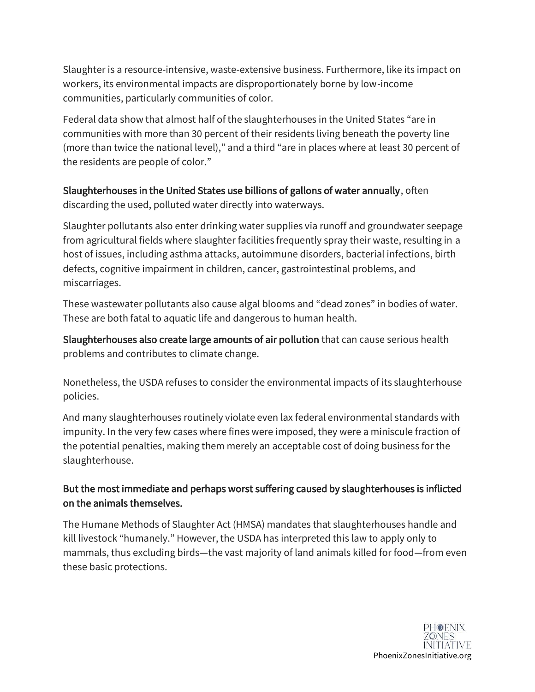Slaughter is a resource-intensive, waste-extensive business. Furthermore, like its impact on workers, its environmental impacts are disproportionately borne by low-income communities, particularly communities of color.

Federal data show that almost half of the slaughterhouses in the United States "are in communities with more than 30 percent of their residents living beneath the poverty line (more than twice the national level)," and a third "are in places where at least 30 percent of the residents are people of color."

Slaughterhouses in the United States use billions of gallons of water annually, often discarding the used, polluted water directly into waterways.

Slaughter pollutants also enter drinking water supplies via runoff and groundwater seepage from agricultural fields where slaughter facilities frequently spray their waste, resulting in a host of issues, including asthma attacks, autoimmune disorders, bacterial infections, birth defects, cognitive impairment in children, cancer, gastrointestinal problems, and miscarriages.

These wastewater pollutants also cause algal blooms and "dead zones" in bodies of water. These are both fatal to aquatic life and dangerous to human health.

Slaughterhouses also create large amounts of air pollution that can cause serious health problems and contributes to climate change.

Nonetheless, the USDA refuses to consider the environmental impacts of its slaughterhouse policies.

And many slaughterhouses routinely violate even lax federal environmental standards with impunity. In the very few cases where fines were imposed, they were a miniscule fraction of the potential penalties, making them merely an acceptable cost of doing business for the slaughterhouse.

## But the most immediate and perhaps worst suffering caused by slaughterhouses is inflicted on the animals themselves.

The Humane Methods of Slaughter Act (HMSA) mandates that slaughterhouses handle and kill livestock "humanely." However, the USDA has interpreted this law to apply only to mammals, thus excluding birds—the vast majority of land animals killed for food—from even these basic protections.